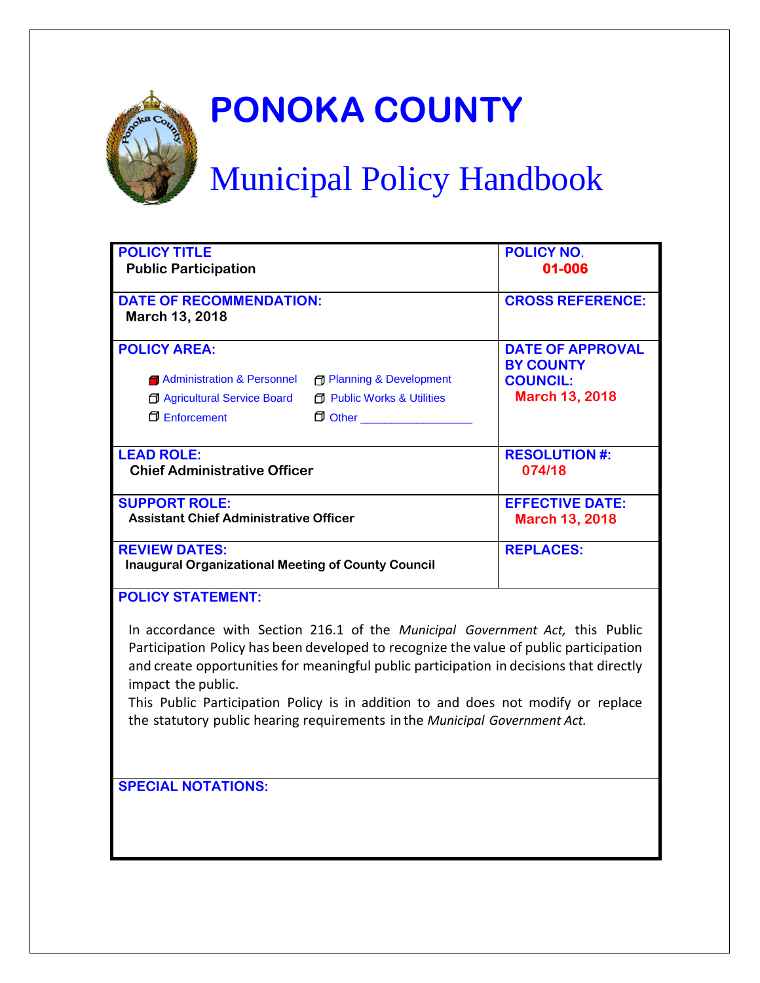

# **PONOKA COUNTY**

# Municipal Policy Handbook

| <b>POLICY TITLE</b>                                       |                                       | <b>POLICY NO.</b>       |
|-----------------------------------------------------------|---------------------------------------|-------------------------|
| <b>Public Participation</b>                               |                                       | 01-006                  |
|                                                           |                                       |                         |
| <b>DATE OF RECOMMENDATION:</b>                            |                                       | <b>CROSS REFERENCE:</b> |
| March 13, 2018                                            |                                       |                         |
|                                                           |                                       |                         |
| <b>POLICY AREA:</b>                                       |                                       | <b>DATE OF APPROVAL</b> |
|                                                           |                                       | <b>BY COUNTY</b>        |
| <b>1</b> Administration & Personnel                       | <b>Fi</b> Planning & Development      | <b>COUNCIL:</b>         |
| <b>J</b> Agricultural Service Board                       | <b>F</b> Public Works & Utilities     | <b>March 13, 2018</b>   |
| <b>Enforcement</b>                                        | <del>D</del> Other __________________ |                         |
|                                                           |                                       |                         |
|                                                           |                                       |                         |
| <b>LEAD ROLE:</b>                                         |                                       | <b>RESOLUTION #:</b>    |
| <b>Chief Administrative Officer</b>                       |                                       | 074/18                  |
|                                                           |                                       |                         |
| <b>SUPPORT ROLE:</b>                                      |                                       | <b>EFFECTIVE DATE:</b>  |
| <b>Assistant Chief Administrative Officer</b>             |                                       | <b>March 13, 2018</b>   |
|                                                           |                                       |                         |
| <b>REVIEW DATES:</b>                                      |                                       | <b>REPLACES:</b>        |
| <b>Inaugural Organizational Meeting of County Council</b> |                                       |                         |
|                                                           |                                       |                         |
| <b>POLICY STATEMENT:</b>                                  |                                       |                         |

In accordance with Section 216.1 of the *Municipal Government Act,* this Public Participation Policy has been developed to recognize the value of public participation and create opportunities for meaningful public participation in decisions that directly impact the public.

This Public Participation Policy is in addition to and does not modify or replace the statutory public hearing requirements in the *Municipal Government Act.*

**SPECIAL NOTATIONS:**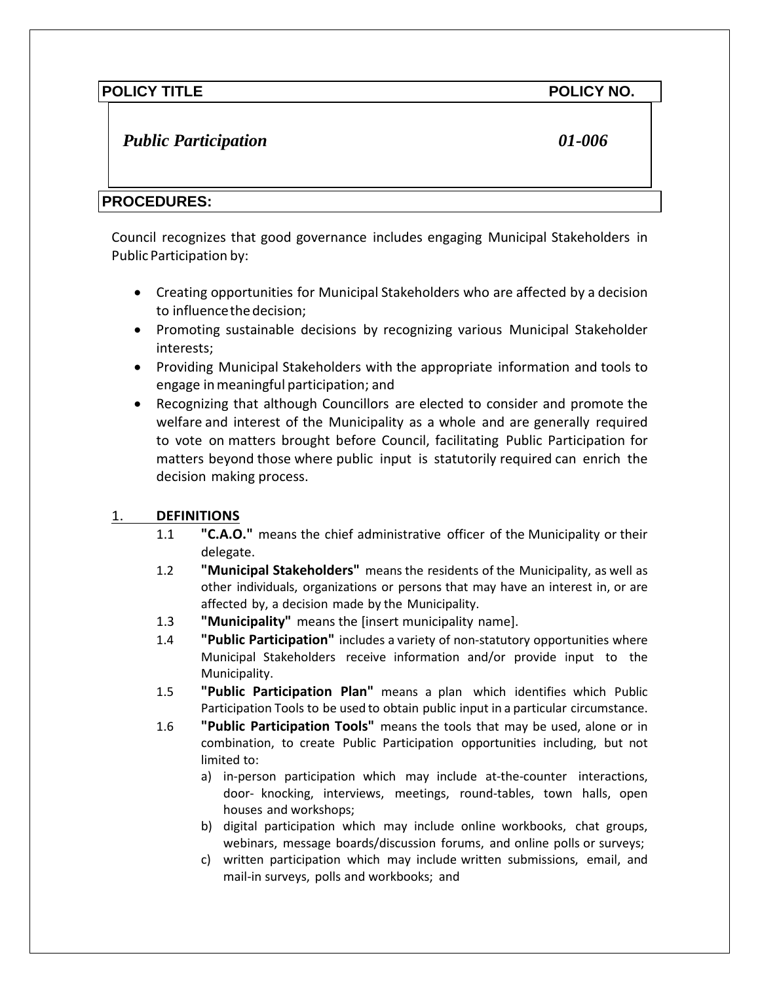# *Public Participation 01-006*

# **PROCEDURES:**

Council recognizes that good governance includes engaging Municipal Stakeholders in Public Participation by:

- Creating opportunities for Municipal Stakeholders who are affected by a decision to influencethedecision;
- Promoting sustainable decisions by recognizing various Municipal Stakeholder interests;
- Providing Municipal Stakeholders with the appropriate information and tools to engage inmeaningful participation; and
- Recognizing that although Councillors are elected to consider and promote the welfare and interest of the Municipality as a whole and are generally required to vote on matters brought before Council, facilitating Public Participation for matters beyond those where public input is statutorily required can enrich the decision making process.

### 1. **DEFINITIONS**

- 1.1 **"C.A.O."** means the chief administrative officer of the Municipality or their delegate.
- 1.2 **"Municipal Stakeholders"** means the residents of the Municipality, as well as other individuals, organizations or persons that may have an interest in, or are affected by, a decision made by the Municipality.
- 1.3 **"Municipality"** means the [insert municipality name].
- 1.4 **"Public Participation"** includes a variety of non-statutory opportunities where Municipal Stakeholders receive information and/or provide input to the Municipality.
- 1.5 **"Public Participation Plan"** means a plan which identifies which Public Participation Tools to be used to obtain public input in a particular circumstance.
- 1.6 **"Public Participation Tools"** means the tools that may be used, alone or in combination, to create Public Participation opportunities including, but not limited to:
	- a) in-person participation which may include at-the-counter interactions, door- knocking, interviews, meetings, round-tables, town halls, open houses and workshops;
	- b) digital participation which may include online workbooks, chat groups, webinars, message boards/discussion forums, and online polls or surveys;
	- c) written participation which may include written submissions, email, and mail-in surveys, polls and workbooks; and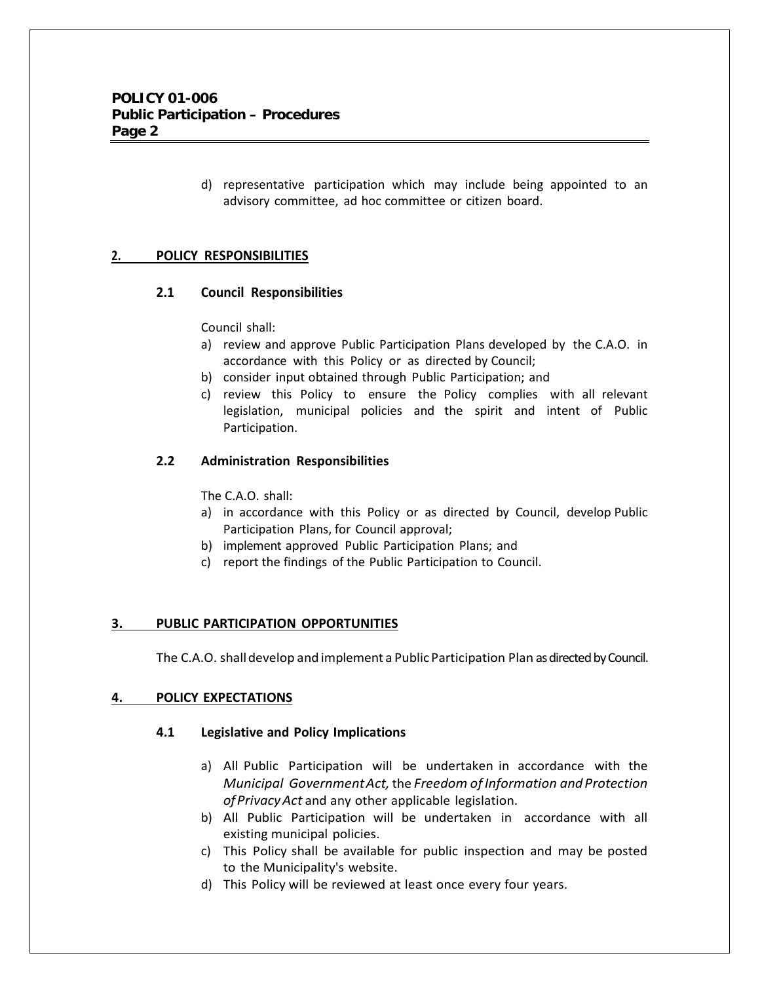d) representative participation which may include being appointed to an advisory committee, ad hoc committee or citizen board.

#### **2. POLICY RESPONSIBILITIES**

#### **2.1 Council Responsibilities**

Council shall:

- a) review and approve Public Participation Plans developed by the C.A.O. in accordance with this Policy or as directed by Council;
- b) consider input obtained through Public Participation; and
- c) review this Policy to ensure the Policy complies with all relevant legislation, municipal policies and the spirit and intent of Public Participation.

#### **2.2 Administration Responsibilities**

The C.A.O. shall:

- a) in accordance with this Policy or as directed by Council, develop Public Participation Plans, for Council approval;
- b) implement approved Public Participation Plans; and
- c) report the findings of the Public Participation to Council.

#### **3. PUBLIC PARTICIPATION OPPORTUNITIES**

The C.A.O. shalldevelop and implement a Public Participation Plan as directed by Council.

#### **4. POLICY EXPECTATIONS**

#### **4.1 Legislative and Policy Implications**

- a) All Public Participation will be undertaken in accordance with the *Municipal GovernmentAct,* the *Freedom of Information andProtection ofPrivacyAct* and any other applicable legislation.
- b) All Public Participation will be undertaken in accordance with all existing municipal policies.
- c) This Policy shall be available for public inspection and may be posted to the Municipality's website.
- d) This Policy will be reviewed at least once every four years.